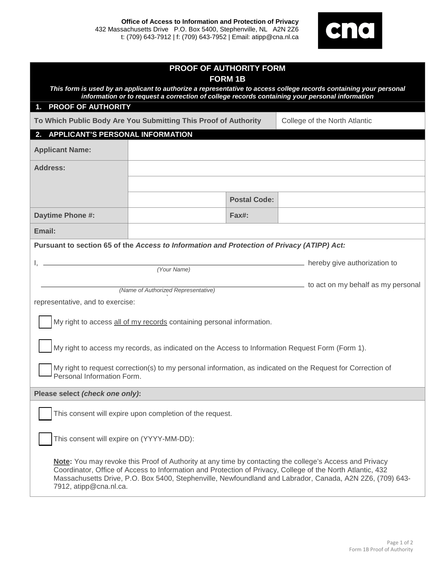

| <b>PROOF OF AUTHORITY FORM</b>                                                                                                                                                                                                                                                                                                                              |  |                               |  |
|-------------------------------------------------------------------------------------------------------------------------------------------------------------------------------------------------------------------------------------------------------------------------------------------------------------------------------------------------------------|--|-------------------------------|--|
| <b>FORM 1B</b><br>This form is used by an applicant to authorize a representative to access college records containing your personal                                                                                                                                                                                                                        |  |                               |  |
| information or to request a correction of college records containing your personal information<br><b>PROOF OF AUTHORITY</b><br>1.                                                                                                                                                                                                                           |  |                               |  |
| To Which Public Body Are You Submitting This Proof of Authority                                                                                                                                                                                                                                                                                             |  | College of the North Atlantic |  |
| <b>APPLICANT'S PERSONAL INFORMATION</b><br>2.                                                                                                                                                                                                                                                                                                               |  |                               |  |
| <b>Applicant Name:</b>                                                                                                                                                                                                                                                                                                                                      |  |                               |  |
| <b>Address:</b>                                                                                                                                                                                                                                                                                                                                             |  |                               |  |
|                                                                                                                                                                                                                                                                                                                                                             |  |                               |  |
|                                                                                                                                                                                                                                                                                                                                                             |  | <b>Postal Code:</b>           |  |
| Daytime Phone #:                                                                                                                                                                                                                                                                                                                                            |  | Fax#:                         |  |
| Email:                                                                                                                                                                                                                                                                                                                                                      |  |                               |  |
| Pursuant to section 65 of the Access to Information and Protection of Privacy (ATIPP) Act:                                                                                                                                                                                                                                                                  |  |                               |  |
| hereby give authorization to                                                                                                                                                                                                                                                                                                                                |  |                               |  |
| (Your Name)                                                                                                                                                                                                                                                                                                                                                 |  |                               |  |
| to act on my behalf as my personal<br>(Name of Authorized Representative)                                                                                                                                                                                                                                                                                   |  |                               |  |
| representative, and to exercise:                                                                                                                                                                                                                                                                                                                            |  |                               |  |
| My right to access all of my records containing personal information.                                                                                                                                                                                                                                                                                       |  |                               |  |
| My right to access my records, as indicated on the Access to Information Request Form (Form 1).                                                                                                                                                                                                                                                             |  |                               |  |
| My right to request correction(s) to my personal information, as indicated on the Request for Correction of<br>Personal Information Form.                                                                                                                                                                                                                   |  |                               |  |
| Please select (check one only):                                                                                                                                                                                                                                                                                                                             |  |                               |  |
| This consent will expire upon completion of the request.                                                                                                                                                                                                                                                                                                    |  |                               |  |
| This consent will expire on (YYYY-MM-DD):                                                                                                                                                                                                                                                                                                                   |  |                               |  |
| Note: You may revoke this Proof of Authority at any time by contacting the college's Access and Privacy<br>Coordinator, Office of Access to Information and Protection of Privacy, College of the North Atlantic, 432<br>Massachusetts Drive, P.O. Box 5400, Stephenville, Newfoundland and Labrador, Canada, A2N 2Z6, (709) 643-<br>7912, atipp@cna.nl.ca. |  |                               |  |